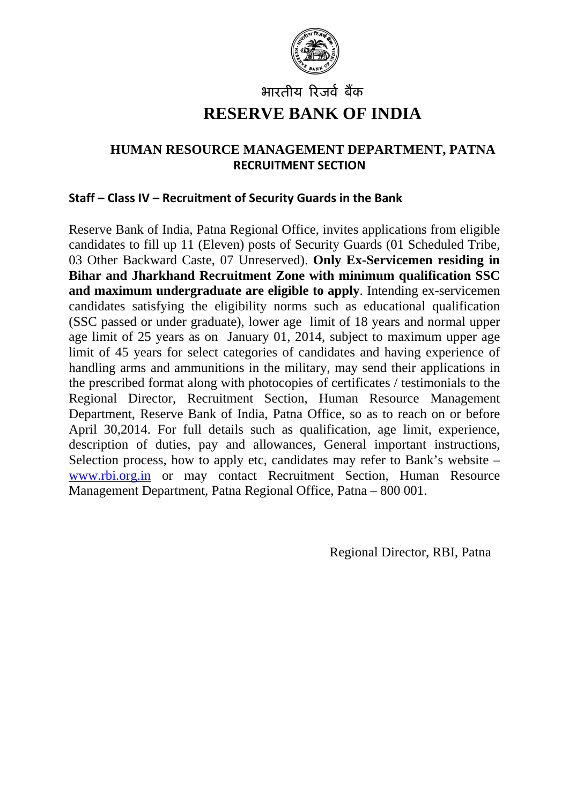

# भारतीय रिजर्व बैंक **RESERVE BANK OF INDIA**

# **HUMAN RESOURCE MANAGEMENT DEPARTMENT, PATNA RECRUITMENT SECTION**

### **Staff – Class IV – Recruitment of Security Guards in the Bank**

Reserve Bank of India, Patna Regional Office, invites applications from eligible candidates to fill up 11 (Eleven) posts of Security Guards (01 Scheduled Tribe, 03 Other Backward Caste, 07 Unreserved). **Only Ex-Servicemen residing in Bihar and Jharkhand Recruitment Zone with minimum qualification SSC and maximum undergraduate are eligible to apply**. Intending ex-servicemen candidates satisfying the eligibility norms such as educational qualification (SSC passed or under graduate), lower age limit of 18 years and normal upper age limit of 25 years as on January 01, 2014, subject to maximum upper age limit of 45 years for select categories of candidates and having experience of handling arms and ammunitions in the military, may send their applications in the prescribed format along with photocopies of certificates / testimonials to the Regional Director, Recruitment Section, Human Resource Management Department, Reserve Bank of India, Patna Office, so as to reach on or before April 30,2014. For full details such as qualification, age limit, experience, description of duties, pay and allowances, General important instructions, Selection process, how to apply etc, candidates may refer to Bank's website – [www.rbi.org.in](http://www.rbi.org.in/) or may contact Recruitment Section, Human Resource Management Department, Patna Regional Office, Patna – 800 001.

Regional Director, RBI, Patna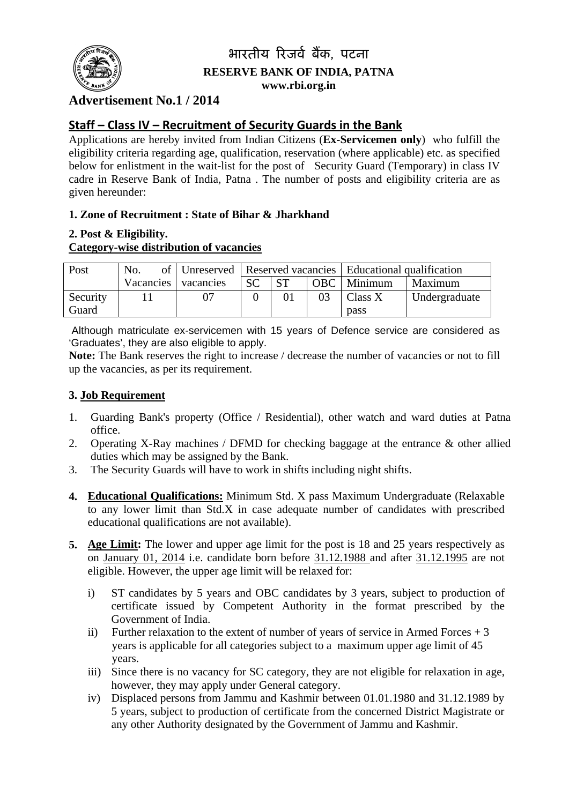

# भारतीय रिजर्व बैंक, पटना **RESERVE BANK OF INDIA, PATNA www.rbi.org.in**

# **Advertisement No.1 / 2014**

# **Staff – Class IV – Recruitment of Security Guards in the Bank**

Applications are hereby invited from Indian Citizens (**Ex-Servicemen only**) who fulfill the eligibility criteria regarding age, qualification, reservation (where applicable) etc. as specified below for enlistment in the wait-list for the post of Security Guard (Temporary) in class IV cadre in Reserve Bank of India, Patna . The number of posts and eligibility criteria are as given hereunder:

### **1. Zone of Recruitment : State of Bihar & Jharkhand**

#### **2. Post & Eligibility.**

### **Category-wise distribution of vacancies**

| Post     | No.                 |           |           |    | of   Unreserved   Reserved vacancies   Educational qualification |               |
|----------|---------------------|-----------|-----------|----|------------------------------------------------------------------|---------------|
|          | Vacancies vacancies | <b>SC</b> | <b>ST</b> |    | OBC   Minimum                                                    | Maximum       |
| Security |                     |           |           | 03 | $\vert$ Class X                                                  | Undergraduate |
| Guard    |                     |           |           |    | pass                                                             |               |

 Although matriculate ex-servicemen with 15 years of Defence service are considered as 'Graduates', they are also eligible to apply.

**Note:** The Bank reserves the right to increase / decrease the number of vacancies or not to fill up the vacancies, as per its requirement.

### **3. Job Requirement**

- 1. Guarding Bank's property (Office / Residential), other watch and ward duties at Patna office.
- 2. Operating X-Ray machines / DFMD for checking baggage at the entrance & other allied duties which may be assigned by the Bank.
- 3. The Security Guards will have to work in shifts including night shifts.
- **4. Educational Qualifications:** Minimum Std. X pass Maximum Undergraduate (Relaxable to any lower limit than Std.X in case adequate number of candidates with prescribed educational qualifications are not available).
- **5. Age Limit:** The lower and upper age limit for the post is 18 and 25 years respectively as on January 01, 2014 i.e. candidate born before 31.12.1988 and after 31.12.1995 are not eligible. However, the upper age limit will be relaxed for:
	- i) ST candidates by 5 years and OBC candidates by 3 years, subject to production of certificate issued by Competent Authority in the format prescribed by the Government of India.
	- ii) Further relaxation to the extent of number of years of service in Armed Forces  $+3$  years is applicable for all categories subject to a maximum upper age limit of 45 years.
	- iii) Since there is no vacancy for SC category, they are not eligible for relaxation in age, however, they may apply under General category.
	- iv) Displaced persons from Jammu and Kashmir between 01.01.1980 and 31.12.1989 by 5 years, subject to production of certificate from the concerned District Magistrate or any other Authority designated by the Government of Jammu and Kashmir.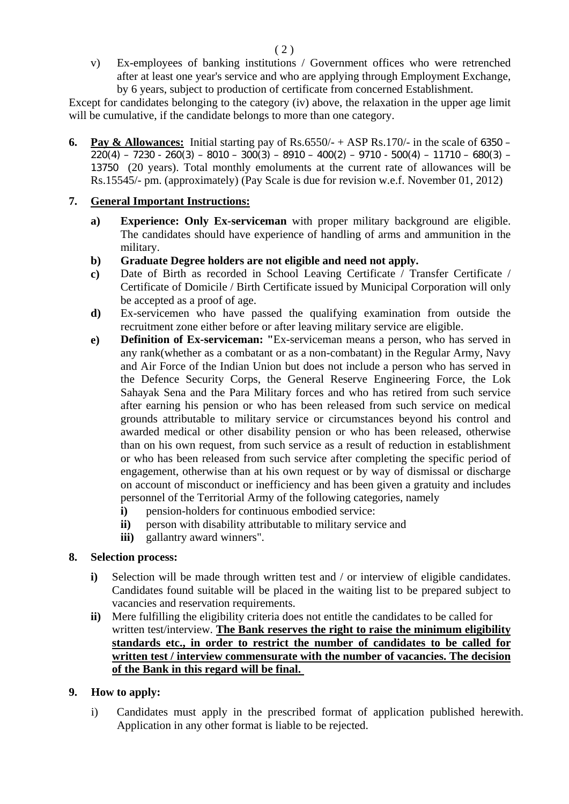v) Ex-employees of banking institutions / Government offices who were retrenched after at least one year's service and who are applying through Employment Exchange, by 6 years, subject to production of certificate from concerned Establishment.

Except for candidates belonging to the category (iv) above, the relaxation in the upper age limit will be cumulative, if the candidate belongs to more than one category.

**6. Pay & Allowances:** Initial starting pay of Rs.6550/ $-$  + ASP Rs.170/ $-$  in the scale of 6350 –  $220(4) - 7230 - 260(3) - 8010 - 300(3) - 8910 - 400(2) - 9710 - 500(4) - 11710 - 680(3) -$ 13750 (20 years). Total monthly emoluments at the current rate of allowances will be Rs.15545/- pm. (approximately) (Pay Scale is due for revision w.e.f. November 01, 2012)

#### **7. General Important Instructions:**

- **a) Experience: Only Ex-serviceman** with proper military background are eligible. The candidates should have experience of handling of arms and ammunition in the military.
- **b) Graduate Degree holders are not eligible and need not apply.**
- **c)** Date of Birth as recorded in School Leaving Certificate / Transfer Certificate / Certificate of Domicile / Birth Certificate issued by Municipal Corporation will only be accepted as a proof of age.
- **d)** Ex-servicemen who have passed the qualifying examination from outside the recruitment zone either before or after leaving military service are eligible.
- **e) Definition of Ex-serviceman: "**Ex-serviceman means a person, who has served in any rank(whether as a combatant or as a non-combatant) in the Regular Army, Navy and Air Force of the Indian Union but does not include a person who has served in the Defence Security Corps, the General Reserve Engineering Force, the Lok Sahayak Sena and the Para Military forces and who has retired from such service after earning his pension or who has been released from such service on medical grounds attributable to military service or circumstances beyond his control and awarded medical or other disability pension or who has been released, otherwise than on his own request, from such service as a result of reduction in establishment or who has been released from such service after completing the specific period of engagement, otherwise than at his own request or by way of dismissal or discharge on account of misconduct or inefficiency and has been given a gratuity and includes personnel of the Territorial Army of the following categories, namely
	- **i**) pension-holders for continuous embodied service:
	- **ii**) person with disability attributable to military service and
	- **iii)** gallantry award winners".

#### **8. Selection process:**

- **i**) Selection will be made through written test and / or interview of eligible candidates. Candidates found suitable will be placed in the waiting list to be prepared subject to vacancies and reservation requirements.
- **ii)** Mere fulfilling the eligibility criteria does not entitle the candidates to be called for written test/interview. **The Bank reserves the right to raise the minimum eligibility standards etc., in order to restrict the number of candidates to be called for written test / interview commensurate with the number of vacancies. The decision of the Bank in this regard will be final.**

#### **9. How to apply:**

i) Candidates must apply in the prescribed format of application published herewith. Application in any other format is liable to be rejected.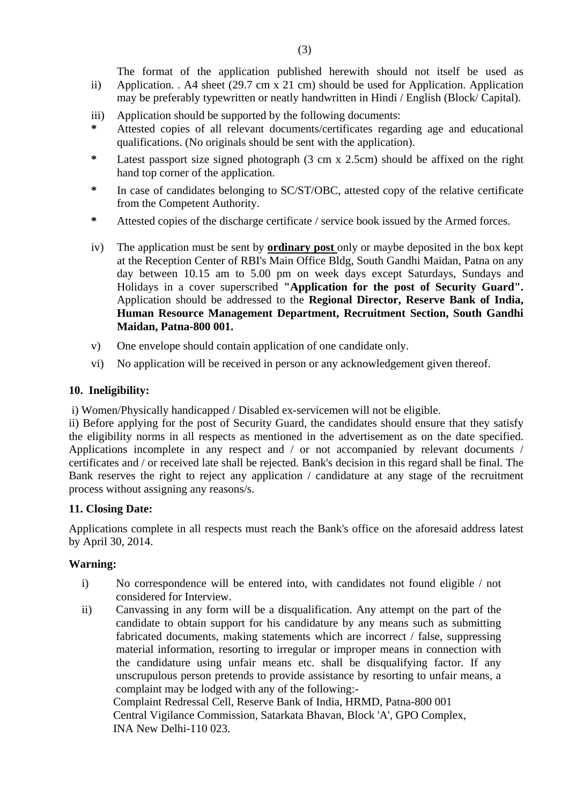The format of the application published herewith should not itself be used as

- ii) Application. . A4 sheet (29.7 cm x 21 cm) should be used for Application. Application may be preferably typewritten or neatly handwritten in Hindi / English (Block/ Capital).
- iii) Application should be supported by the following documents:
- Attested copies of all relevant documents/certificates regarding age and educational qualifications. (No originals should be sent with the application).
- **\*** Latest passport size signed photograph (3 cm x 2.5cm) should be affixed on the right hand top corner of the application.
- **\*** In case of candidates belonging to SC/ST/OBC, attested copy of the relative certificate from the Competent Authority.
- **\*** Attested copies of the discharge certificate / service book issued by the Armed forces.
- iv) The application must be sent by **ordinary post** only or maybe deposited in the box kept at the Reception Center of RBI's Main Office Bldg, South Gandhi Maidan, Patna on any day between 10.15 am to 5.00 pm on week days except Saturdays, Sundays and Holidays in a cover superscribed **"Application for the post of Security Guard".** Application should be addressed to the **Regional Director, Reserve Bank of India, Human Resource Management Department, Recruitment Section, South Gandhi Maidan, Patna-800 001.**
- v) One envelope should contain application of one candidate only.
- vi) No application will be received in person or any acknowledgement given thereof.

#### **10. Ineligibility:**

i) Women/Physically handicapped / Disabled ex-servicemen will not be eligible.

ii) Before applying for the post of Security Guard, the candidates should ensure that they satisfy the eligibility norms in all respects as mentioned in the advertisement as on the date specified. Applications incomplete in any respect and / or not accompanied by relevant documents / certificates and / or received late shall be rejected. Bank's decision in this regard shall be final. The Bank reserves the right to reject any application / candidature at any stage of the recruitment process without assigning any reasons/s.

#### **11. Closing Date:**

INA New Delhi-110 023.

Applications complete in all respects must reach the Bank's office on the aforesaid address latest by April 30, 2014.

#### **Warning:**

- i) No correspondence will be entered into, with candidates not found eligible / not considered for Interview.
- ii) Canvassing in any form will be a disqualification. Any attempt on the part of the candidate to obtain support for his candidature by any means such as submitting fabricated documents, making statements which are incorrect / false, suppressing material information, resorting to irregular or improper means in connection with the candidature using unfair means etc. shall be disqualifying factor. If any unscrupulous person pretends to provide assistance by resorting to unfair means, a complaint may be lodged with any of the following:- Complaint Redressal Cell, Reserve Bank of India, HRMD, Patna-800 001 Central Vigilance Commission, Satarkata Bhavan, Block 'A', GPO Complex,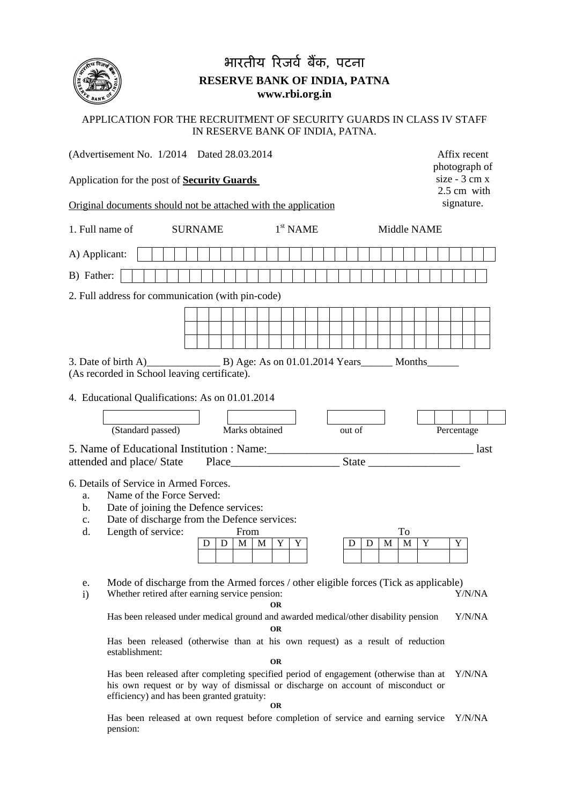

# भारतीय रिजर्व बैंक, पटना **RESERVE BANK OF INDIA, PATNA www.rbi.org.in**

#### APPLICATION FOR THE RECRUITMENT OF SECURITY GUARDS IN CLASS IV STAFF IN RESERVE BANK OF INDIA, PATNA.

| (Advertisement No. 1/2014 Dated 28.03.2014)                                                                                                                                                                                                                                              | Affix recent<br>photograph of  |  |
|------------------------------------------------------------------------------------------------------------------------------------------------------------------------------------------------------------------------------------------------------------------------------------------|--------------------------------|--|
| Application for the post of <b>Security Guards</b>                                                                                                                                                                                                                                       | $size - 3 cm x$<br>2.5 cm with |  |
| Original documents should not be attached with the application                                                                                                                                                                                                                           | signature.                     |  |
| $1st$ NAME<br>1. Full name of<br><b>SURNAME</b><br>Middle NAME                                                                                                                                                                                                                           |                                |  |
| A) Applicant:                                                                                                                                                                                                                                                                            |                                |  |
| B) Father:                                                                                                                                                                                                                                                                               |                                |  |
| 2. Full address for communication (with pin-code)                                                                                                                                                                                                                                        |                                |  |
|                                                                                                                                                                                                                                                                                          |                                |  |
| (As recorded in School leaving certificate).                                                                                                                                                                                                                                             |                                |  |
| 4. Educational Qualifications: As on 01.01.2014                                                                                                                                                                                                                                          |                                |  |
| (Standard passed)<br>Marks obtained<br>out of<br>Percentage                                                                                                                                                                                                                              |                                |  |
|                                                                                                                                                                                                                                                                                          | last                           |  |
| attended and place/ State                                                                                                                                                                                                                                                                |                                |  |
| 6. Details of Service in Armed Forces.<br>Name of the Force Served:<br>a.<br>Date of joining the Defence services:<br>b.<br>Date of discharge from the Defence services:<br>$c_{\cdot}$<br>Length of service:<br>d.<br>From<br>To<br>M<br>Y<br>Y<br>Y<br>D<br>M<br>D<br>M<br>M<br>D<br>D | Y                              |  |
| Mode of discharge from the Armed forces / other eligible forces (Tick as applicable)<br>e.<br>Whether retired after earning service pension:<br>$\mathbf{i}$<br>Has been released under medical ground and awarded medical/other disability pension                                      | Y/N/NA<br>Y/N/NA               |  |
| <b>OR</b><br>Has been released (otherwise than at his own request) as a result of reduction<br>establishment:<br><b>OR</b>                                                                                                                                                               |                                |  |
| Has been released after completing specified period of engagement (otherwise than at<br>his own request or by way of dismissal or discharge on account of misconduct or<br>efficiency) and has been granted gratuity:<br><b>OR</b>                                                       | Y/N/NA                         |  |

Has been released at own request before completion of service and earning service Y/N/NA pension: